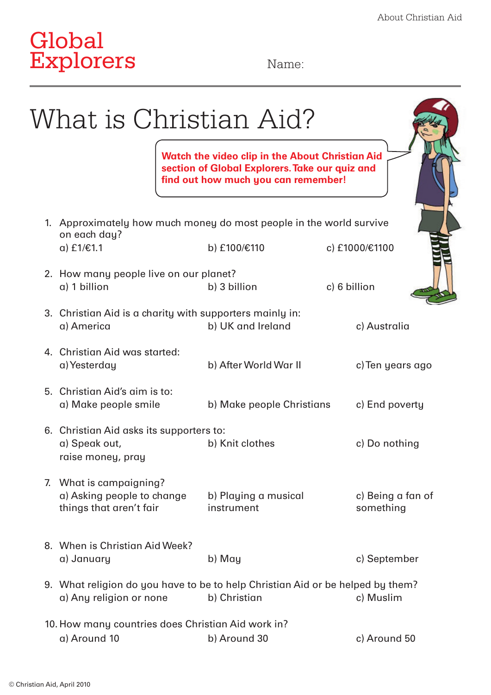# Global Explorers Name:

| on each day?<br>a) £1/€1.1         |                                                       | <b>Watch the video clip in the About Christian Aid</b><br>section of Global Explorers. Take our quiz and<br>find out how much you can remember! |                                |
|------------------------------------|-------------------------------------------------------|-------------------------------------------------------------------------------------------------------------------------------------------------|--------------------------------|
|                                    |                                                       |                                                                                                                                                 |                                |
|                                    |                                                       | 1. Approximately how much money do most people in the world survive                                                                             |                                |
|                                    |                                                       | b) £100/€110                                                                                                                                    | c) £1000/€1100                 |
| a) 1 billion                       | 2. How many people live on our planet?                | b) 3 billion                                                                                                                                    | c) 6 billion                   |
|                                    |                                                       |                                                                                                                                                 |                                |
| a) America                         |                                                       | 3. Christian Aid is a charity with supporters mainly in:<br>b) UK and Ireland                                                                   | c) Australia                   |
| a) Yesterday                       | 4. Christian Aid was started:                         | b) After World War II                                                                                                                           | c) Ten years ago               |
|                                    | 5. Christian Aid's aim is to:<br>a) Make people smile | b) Make people Christians                                                                                                                       | c) End poverty                 |
| a) Speak out,<br>raise money, pray | 6. Christian Aid asks its supporters to:              | b) Knit clothes                                                                                                                                 | c) Do nothing                  |
| 7. What is campaigning?            | a) Asking people to change<br>things that aren't fair | b) Playing a musical<br>instrument                                                                                                              | c) Being a fan of<br>something |
| a) January                         | 8. When is Christian Aid Week?                        | b) May                                                                                                                                          | c) September                   |
|                                    | a) Any religion or none                               | 9. What religion do you have to be to help Christian Aid or be helped by them?<br>b) Christian                                                  | c) Muslim                      |
| a) Around 10                       | 10. How many countries does Christian Aid work in?    |                                                                                                                                                 | c) Around 50                   |